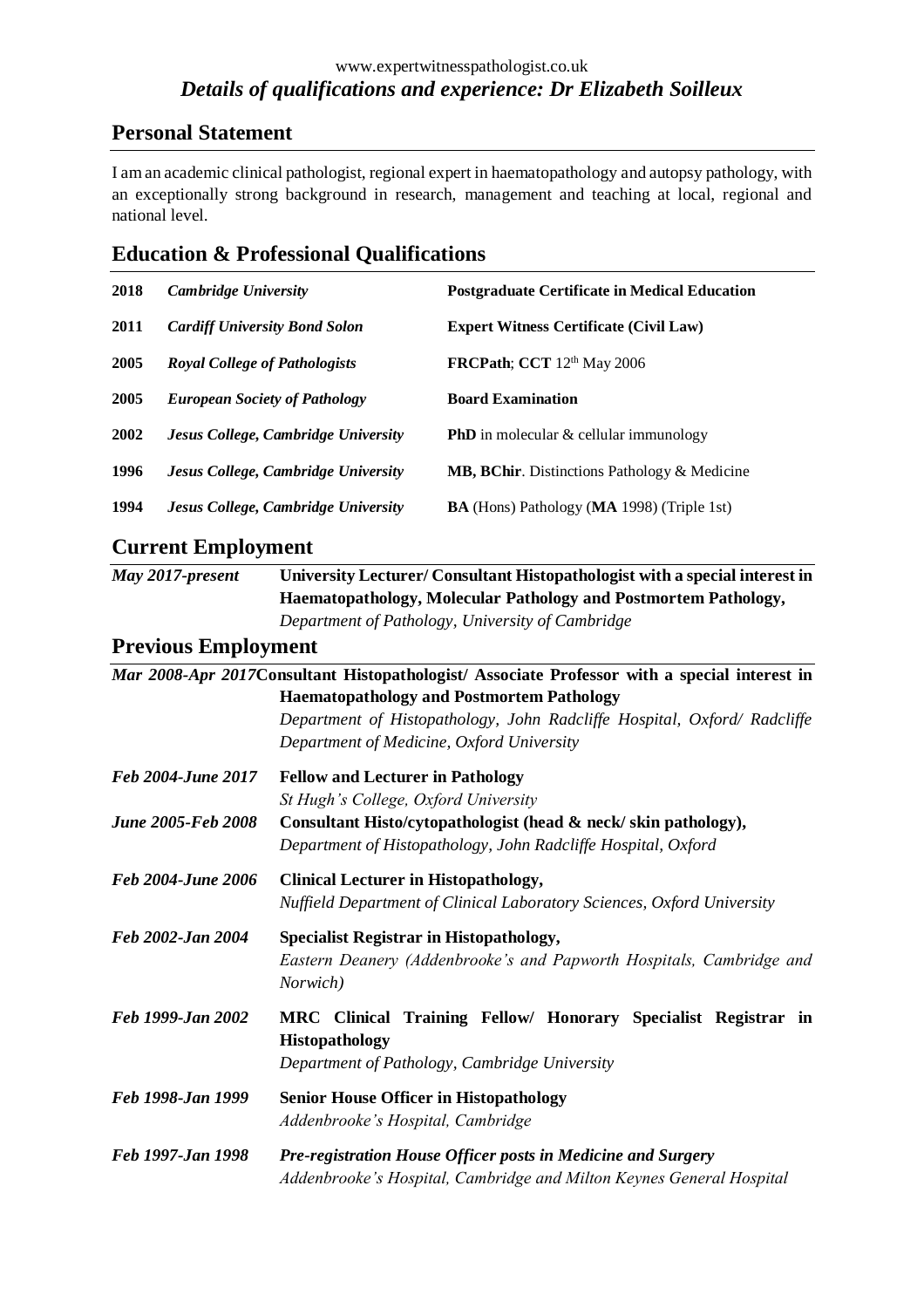#### www.expertwitnesspathologist.co.uk *Details of qualifications and experience: Dr Elizabeth Soilleux*

# **Personal Statement**

I am an academic clinical pathologist, regional expert in haematopathology and autopsy pathology, with an exceptionally strong background in research, management and teaching at local, regional and national level.

## **Education & Professional Qualifications**

| 2018 | Cambridge University                 | <b>Postgraduate Certificate in Medical Education</b>      |
|------|--------------------------------------|-----------------------------------------------------------|
| 2011 | <b>Cardiff University Bond Solon</b> | <b>Expert Witness Certificate (Civil Law)</b>             |
| 2005 | <b>Royal College of Pathologists</b> | <b>FRCPath</b> ; CCT 12 <sup>th</sup> May 2006            |
| 2005 | <b>European Society of Pathology</b> | <b>Board Examination</b>                                  |
| 2002 | Jesus College, Cambridge University  | <b>PhD</b> in molecular & cellular immunology             |
| 1996 | Jesus College, Cambridge University  | <b>MB, BChir.</b> Distinctions Pathology & Medicine       |
| 1994 | Jesus College, Cambridge University  | <b>BA</b> (Hons) Pathology ( <b>MA</b> 1998) (Triple 1st) |

## **Current Employment**

| May 2017-present | University Lecturer/ Consultant Histopathologist with a special interest in |  |
|------------------|-----------------------------------------------------------------------------|--|
|                  | Haematopathology, Molecular Pathology and Postmortem Pathology,             |  |
|                  | Department of Pathology, University of Cambridge                            |  |

# **Previous Employment**

|                           | Mar 2008-Apr 2017Consultant Histopathologist/ Associate Professor with a special interest in |
|---------------------------|----------------------------------------------------------------------------------------------|
|                           | <b>Haematopathology and Postmortem Pathology</b>                                             |
|                           | Department of Histopathology, John Radcliffe Hospital, Oxford/ Radcliffe                     |
|                           | Department of Medicine, Oxford University                                                    |
| Feb 2004-June 2017        | <b>Fellow and Lecturer in Pathology</b>                                                      |
|                           | St Hugh's College, Oxford University                                                         |
| <b>June 2005-Feb 2008</b> | Consultant Histo/cytopathologist (head & neck/skin pathology),                               |
|                           | Department of Histopathology, John Radcliffe Hospital, Oxford                                |
| Feb 2004-June 2006        | <b>Clinical Lecturer in Histopathology,</b>                                                  |
|                           | Nuffield Department of Clinical Laboratory Sciences, Oxford University                       |
| Feb 2002-Jan 2004         | <b>Specialist Registrar in Histopathology,</b>                                               |
|                           | Eastern Deanery (Addenbrooke's and Papworth Hospitals, Cambridge and<br>Norwich)             |
| Feb 1999-Jan 2002         | MRC Clinical Training Fellow/ Honorary Specialist Registrar in                               |
|                           | <b>Histopathology</b>                                                                        |
|                           | Department of Pathology, Cambridge University                                                |
| Feb 1998-Jan 1999         | <b>Senior House Officer in Histopathology</b>                                                |
|                           | Addenbrooke's Hospital, Cambridge                                                            |
| Feb 1997-Jan 1998         | Pre-registration House Officer posts in Medicine and Surgery                                 |
|                           | Addenbrooke's Hospital, Cambridge and Milton Keynes General Hospital                         |